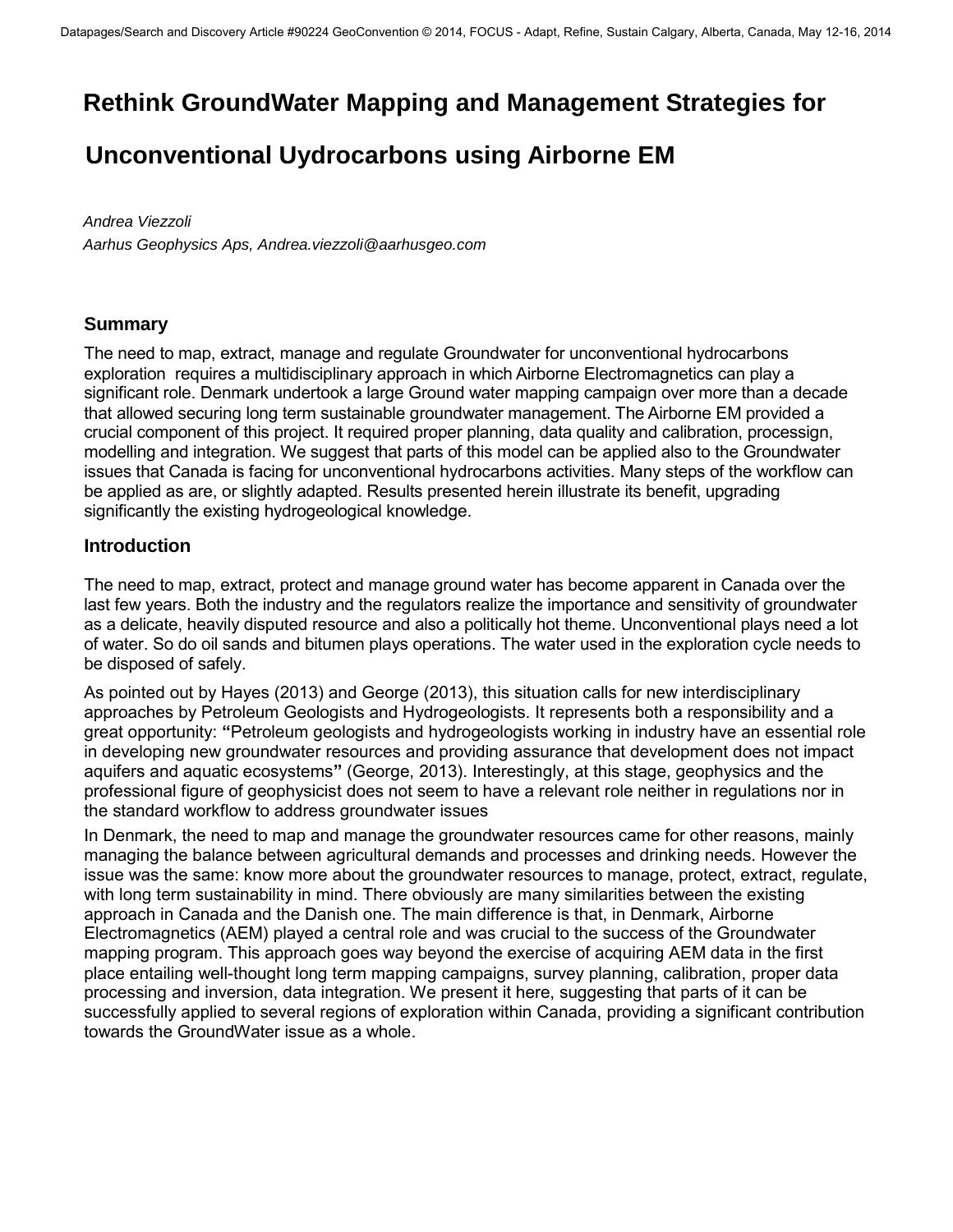## **Rethink GroundWater Mapping and Management Strategies for**

# **Unconventional Uydrocarbons using Airborne EM**

*Andrea Viezzoli Aarhus Geophysics Aps, Andrea.viezzoli@aarhusgeo.com*

### **Summary**

The need to map, extract, manage and regulate Groundwater for unconventional hydrocarbons exploration requires a multidisciplinary approach in which Airborne Electromagnetics can play a significant role. Denmark undertook a large Ground water mapping campaign over more than a decade that allowed securing long term sustainable groundwater management. The Airborne EM provided a crucial component of this project. It required proper planning, data quality and calibration, processign, modelling and integration. We suggest that parts of this model can be applied also to the Groundwater issues that Canada is facing for unconventional hydrocarbons activities. Many steps of the workflow can be applied as are, or slightly adapted. Results presented herein illustrate its benefit, upgrading significantly the existing hydrogeological knowledge.

### **Introduction**

The need to map, extract, protect and manage ground water has become apparent in Canada over the last few years. Both the industry and the regulators realize the importance and sensitivity of groundwater as a delicate, heavily disputed resource and also a politically hot theme. Unconventional plays need a lot of water. So do oil sands and bitumen plays operations. The water used in the exploration cycle needs to be disposed of safely.

As pointed out by Hayes (2013) and George (2013), this situation calls for new interdisciplinary approaches by Petroleum Geologists and Hydrogeologists. It represents both a responsibility and a great opportunity: **"**Petroleum geologists and hydrogeologists working in industry have an essential role in developing new groundwater resources and providing assurance that development does not impact aquifers and aquatic ecosystems**"** (George, 2013). Interestingly, at this stage, geophysics and the professional figure of geophysicist does not seem to have a relevant role neither in regulations nor in the standard workflow to address groundwater issues

In Denmark, the need to map and manage the groundwater resources came for other reasons, mainly managing the balance between agricultural demands and processes and drinking needs. However the issue was the same: know more about the groundwater resources to manage, protect, extract, regulate, with long term sustainability in mind. There obviously are many similarities between the existing approach in Canada and the Danish one. The main difference is that, in Denmark, Airborne Electromagnetics (AEM) played a central role and was crucial to the success of the Groundwater mapping program. This approach goes way beyond the exercise of acquiring AEM data in the first place entailing well-thought long term mapping campaigns, survey planning, calibration, proper data processing and inversion, data integration. We present it here, suggesting that parts of it can be successfully applied to several regions of exploration within Canada, providing a significant contribution towards the GroundWater issue as a whole.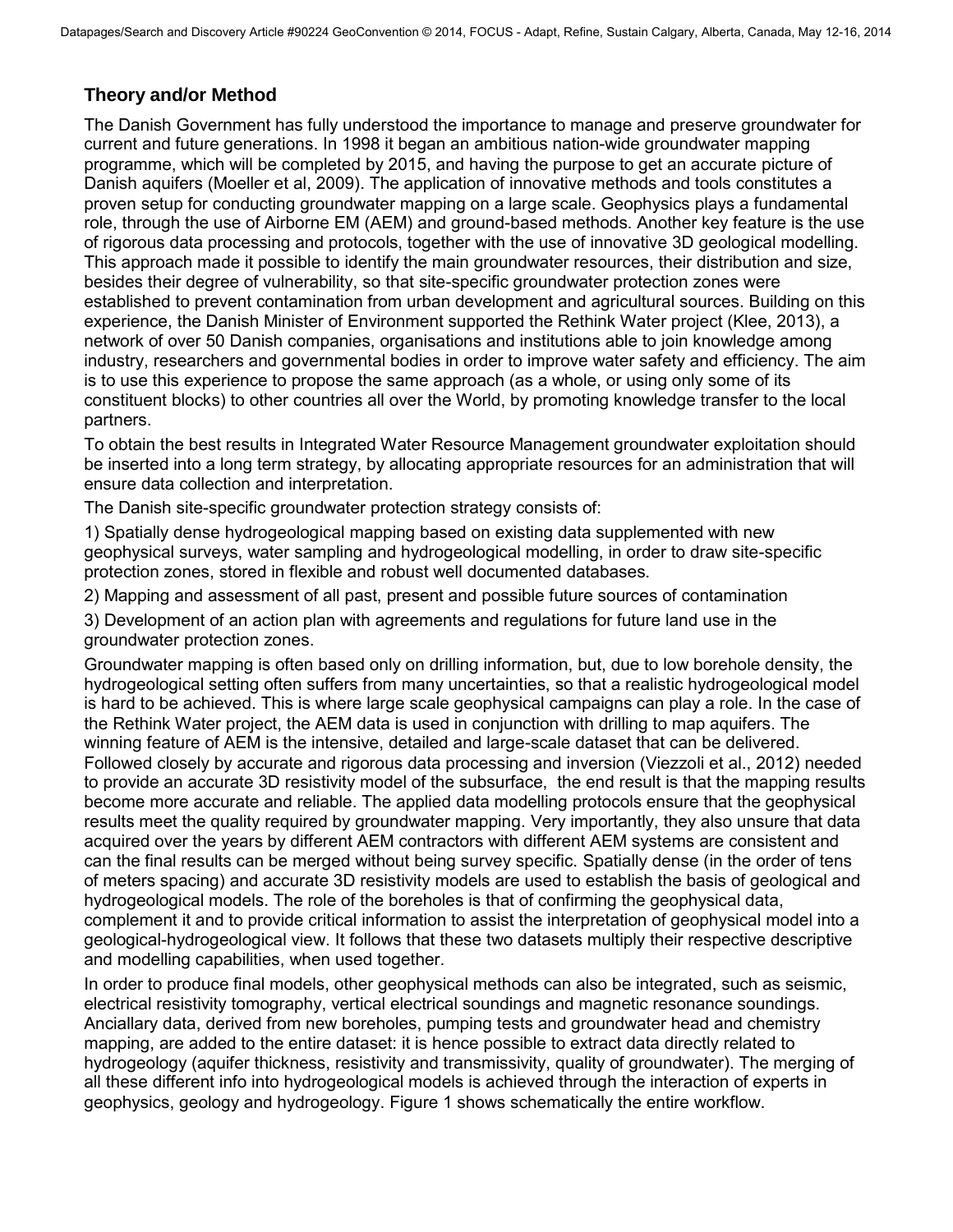## **Theory and/or Method**

The Danish Government has fully understood the importance to manage and preserve groundwater for current and future generations. In 1998 it began an ambitious nation-wide groundwater mapping programme, which will be completed by 2015, and having the purpose to get an accurate picture of Danish aquifers (Moeller et al, 2009). The application of innovative methods and tools constitutes a proven setup for conducting groundwater mapping on a large scale. Geophysics plays a fundamental role, through the use of Airborne EM (AEM) and ground-based methods. Another key feature is the use of rigorous data processing and protocols, together with the use of innovative 3D geological modelling. This approach made it possible to identify the main groundwater resources, their distribution and size, besides their degree of vulnerability, so that site-specific groundwater protection zones were established to prevent contamination from urban development and agricultural sources. Building on this experience, the Danish Minister of Environment supported the Rethink Water project (Klee, 2013), a network of over 50 Danish companies, organisations and institutions able to join knowledge among industry, researchers and governmental bodies in order to improve water safety and efficiency. The aim is to use this experience to propose the same approach (as a whole, or using only some of its constituent blocks) to other countries all over the World, by promoting knowledge transfer to the local partners.

To obtain the best results in Integrated Water Resource Management groundwater exploitation should be inserted into a long term strategy, by allocating appropriate resources for an administration that will ensure data collection and interpretation.

The Danish site-specific groundwater protection strategy consists of:

1) Spatially dense hydrogeological mapping based on existing data supplemented with new geophysical surveys, water sampling and hydrogeological modelling, in order to draw site-specific protection zones, stored in flexible and robust well documented databases.

2) Mapping and assessment of all past, present and possible future sources of contamination

3) Development of an action plan with agreements and regulations for future land use in the groundwater protection zones.

Groundwater mapping is often based only on drilling information, but, due to low borehole density, the hydrogeological setting often suffers from many uncertainties, so that a realistic hydrogeological model is hard to be achieved. This is where large scale geophysical campaigns can play a role. In the case of the Rethink Water project, the AEM data is used in conjunction with drilling to map aquifers. The winning feature of AEM is the intensive, detailed and large-scale dataset that can be delivered. Followed closely by accurate and rigorous data processing and inversion (Viezzoli et al., 2012) needed to provide an accurate 3D resistivity model of the subsurface, the end result is that the mapping results become more accurate and reliable. The applied data modelling protocols ensure that the geophysical results meet the quality required by groundwater mapping. Very importantly, they also unsure that data acquired over the years by different AEM contractors with different AEM systems are consistent and can the final results can be merged without being survey specific. Spatially dense (in the order of tens of meters spacing) and accurate 3D resistivity models are used to establish the basis of geological and hydrogeological models. The role of the boreholes is that of confirming the geophysical data, complement it and to provide critical information to assist the interpretation of geophysical model into a geological-hydrogeological view. It follows that these two datasets multiply their respective descriptive and modelling capabilities, when used together.

In order to produce final models, other geophysical methods can also be integrated, such as seismic, electrical resistivity tomography, vertical electrical soundings and magnetic resonance soundings. Anciallary data, derived from new boreholes, pumping tests and groundwater head and chemistry mapping, are added to the entire dataset: it is hence possible to extract data directly related to hydrogeology (aquifer thickness, resistivity and transmissivity, quality of groundwater). The merging of all these different info into hydrogeological models is achieved through the interaction of experts in geophysics, geology and hydrogeology. Figure 1 shows schematically the entire workflow.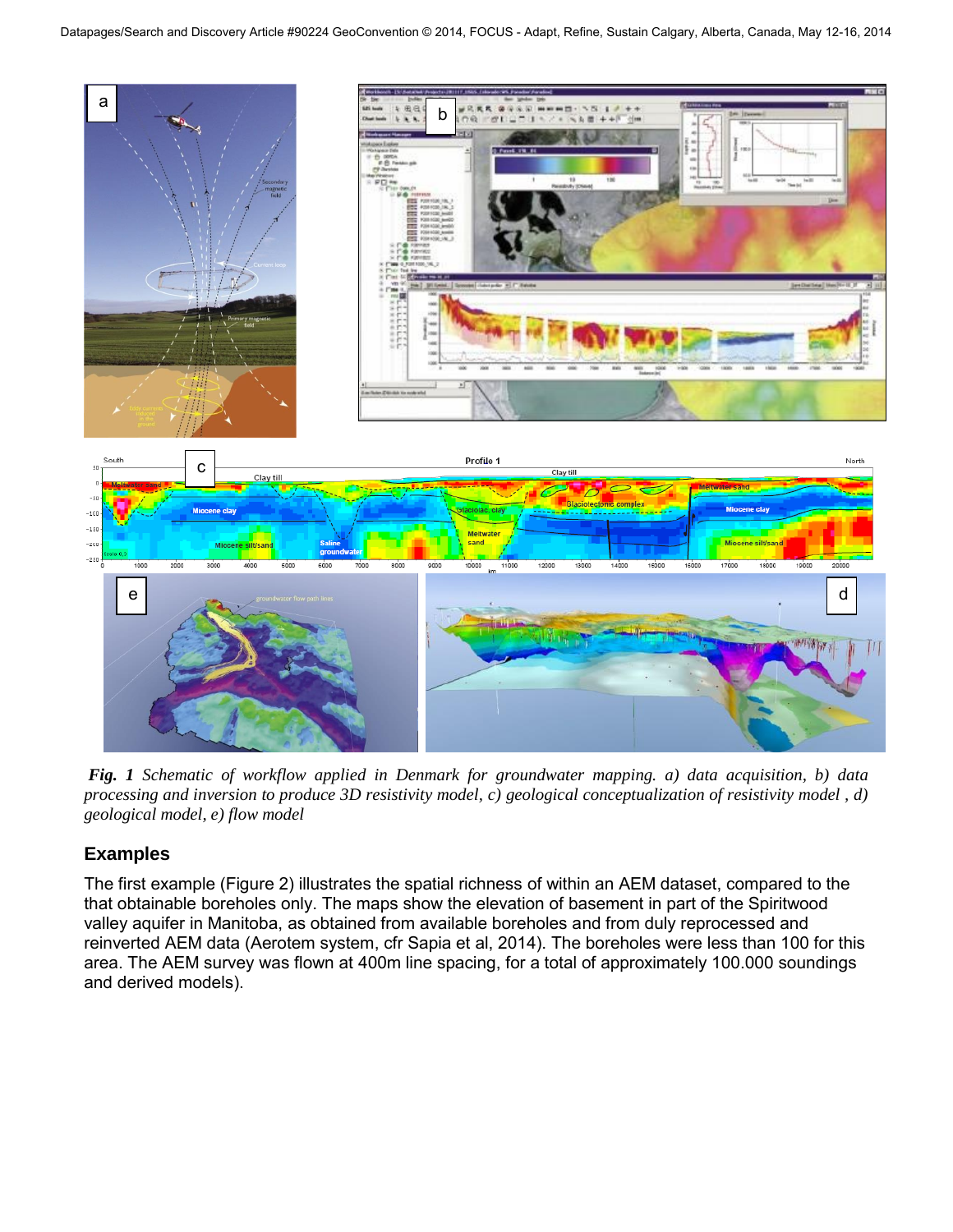

*Fig. 1 Schematic of workflow applied in Denmark for groundwater mapping. a) data acquisition, b) data processing and inversion to produce 3D resistivity model, c) geological conceptualization of resistivity model , d) geological model, e) flow model* 

## **Examples**

The first example (Figure 2) illustrates the spatial richness of within an AEM dataset, compared to the that obtainable boreholes only. The maps show the elevation of basement in part of the Spiritwood valley aquifer in Manitoba, as obtained from available boreholes and from duly reprocessed and reinverted AEM data (Aerotem system, cfr Sapia et al, 2014). The boreholes were less than 100 for this area. The AEM survey was flown at 400m line spacing, for a total of approximately 100.000 soundings and derived models).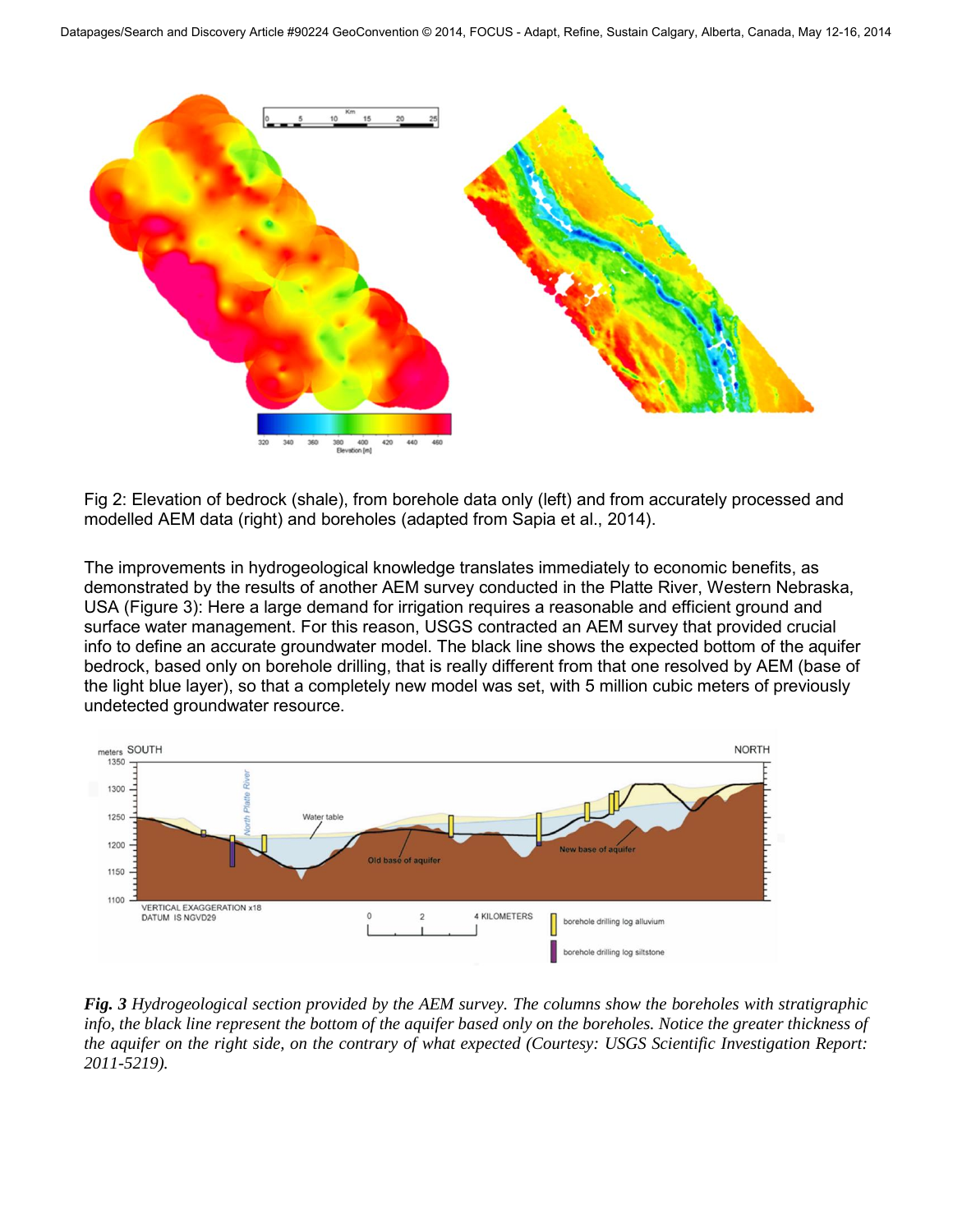

Fig 2: Elevation of bedrock (shale), from borehole data only (left) and from accurately processed and modelled AEM data (right) and boreholes (adapted from Sapia et al., 2014).

The improvements in hydrogeological knowledge translates immediately to economic benefits, as demonstrated by the results of another AEM survey conducted in the Platte River, Western Nebraska, USA (Figure 3): Here a large demand for irrigation requires a reasonable and efficient ground and surface water management. For this reason, USGS contracted an AEM survey that provided crucial info to define an accurate groundwater model. The black line shows the expected bottom of the aquifer bedrock, based only on borehole drilling, that is really different from that one resolved by AEM (base of the light blue layer), so that a completely new model was set, with 5 million cubic meters of previously undetected groundwater resource.



*Fig. 3 Hydrogeological section provided by the AEM survey. The columns show the boreholes with stratigraphic info, the black line represent the bottom of the aquifer based only on the boreholes. Notice the greater thickness of the aquifer on the right side, on the contrary of what expected (Courtesy: USGS Scientific Investigation Report: 2011-5219).*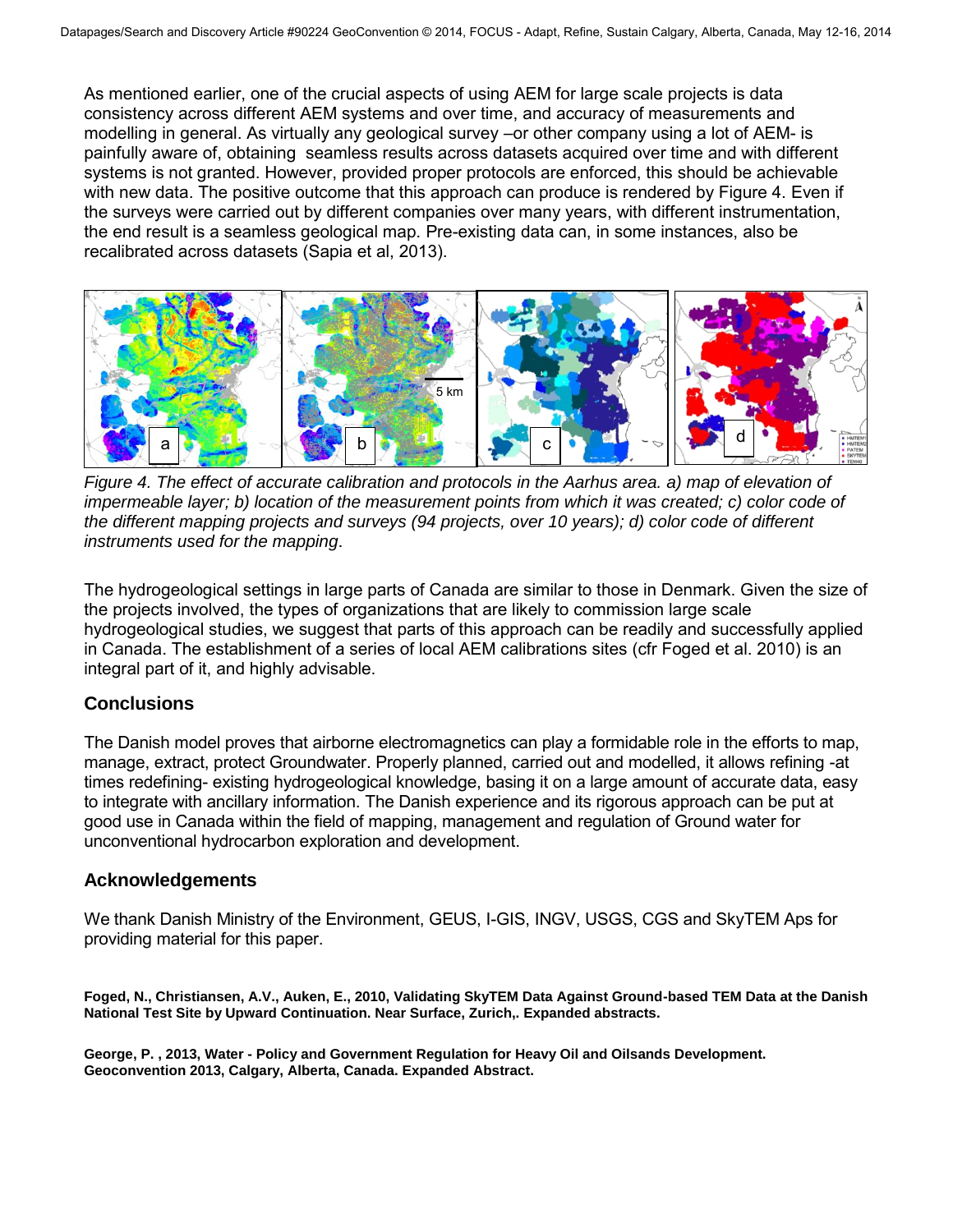As mentioned earlier, one of the crucial aspects of using AEM for large scale projects is data consistency across different AEM systems and over time, and accuracy of measurements and modelling in general. As virtually any geological survey –or other company using a lot of AEM- is painfully aware of, obtaining seamless results across datasets acquired over time and with different systems is not granted. However, provided proper protocols are enforced, this should be achievable with new data. The positive outcome that this approach can produce is rendered by Figure 4. Even if the surveys were carried out by different companies over many years, with different instrumentation, the end result is a seamless geological map. Pre-existing data can, in some instances, also be recalibrated across datasets (Sapia et al, 2013).



*Figure 4. The effect of accurate calibration and protocols in the Aarhus area. a) map of elevation of impermeable layer; b) location of the measurement points from which it was created; c) color code of the different mapping projects and surveys (94 projects, over 10 years); d) color code of different instruments used for the mapping*.

The hydrogeological settings in large parts of Canada are similar to those in Denmark. Given the size of the projects involved, the types of organizations that are likely to commission large scale hydrogeological studies, we suggest that parts of this approach can be readily and successfully applied in Canada. The establishment of a series of local AEM calibrations sites (cfr Foged et al. 2010) is an integral part of it, and highly advisable.

### **Conclusions**

The Danish model proves that airborne electromagnetics can play a formidable role in the efforts to map, manage, extract, protect Groundwater. Properly planned, carried out and modelled, it allows refining -at times redefining- existing hydrogeological knowledge, basing it on a large amount of accurate data, easy to integrate with ancillary information. The Danish experience and its rigorous approach can be put at good use in Canada within the field of mapping, management and regulation of Ground water for unconventional hydrocarbon exploration and development.

#### **Acknowledgements**

We thank Danish Ministry of the Environment, GEUS, I-GIS, INGV, USGS, CGS and SkyTEM Aps for providing material for this paper.

**Foged, N., Christiansen, A.V., Auken, E., 2010, Validating SkyTEM Data Against Ground-based TEM Data at the Danish National Test Site by Upward Continuation. Near Surface, Zurich,. Expanded abstracts.** 

**George, P. , 2013, Water - Policy and Government Regulation for Heavy Oil and Oilsands Development. Geoconvention 2013, Calgary, Alberta, Canada. Expanded Abstract.**